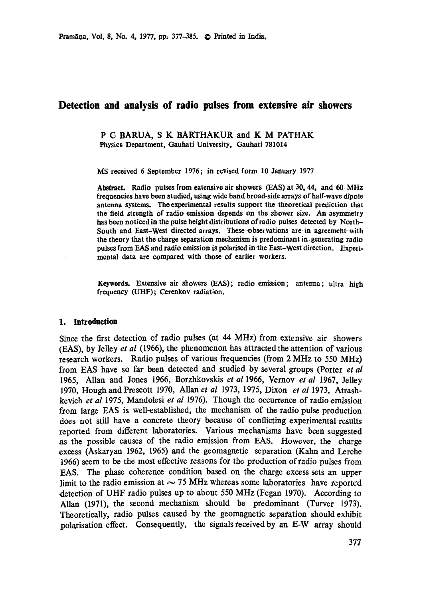# **Detection and analysis of radio pulses from extensive air showers**

P (3 BARUA, S K BARTHAKUR and K M PATHAK Physics Department, Gauhati University, Gauhati 781014

MS received 6 September 1976; in revised form 10 January 1977

**Abstract.** Radio pulses from extensive air showers (EAS) at 30, 44, and 60 MHz **frequencies** have been studied, using wide band broad-side arrays of half-wave dipole antenna systems. The experimental results support the theoretical prediction that the field strength of radio emission depends on the shower size. An asymmetry has been noticed in the pulse height distributions of radio pulses detected by North-South and East-West directed arrays. These observations are in agreement with the theory that the charge separation mechanism is predominant in generating radio pulses from EAS and radio emission is polarised in the East-West direction. Experimental data are compared with those of earlier workers.

Keywords. Extensive air showers (EAS); radio emission; antenna; ultra high frequency (UHF); Cerenkov radiation.

#### **1. Introduction**

Since the first detection of radio pulses (at 44 MHz) from extensive air showers (EAS), by Jelley *et al* (1966), the phenomenon has attracted the attention of various research workers. Radio pulses of various frequencies (from 2 MHz to 550 MHz) from EAS have so far been detected and studied by several groups (Porter *et al*  1965, Allan and Jones 1966, Borzhkovskis *et al* 1966, Vernov *et al* 1967, Jelley 1970, Hough and Prescott 1970, Allan *et al* 1973, 1975, Dixon *et al* 1973, Atrashkevich *et al* 1975, Mandolesi *et al* 1976). Though the occurrence of radio emission from large EAS is well-established, the mechanism of the radio pulse production does not still have a concrete theory because of conflicting experimental results reported from different laboratories. Various mechanisms have been suggested as the possible causes of the radio emission from EAS. However, the charge excess (Askaryan 1962, 1965) and the geomagnetic separation (Kahn and Lerche 1966) seem to be the most effective reasons for the production of radio pulses from EAS. The phase coherence condition based on the charge excess sets an upper limit to the radio emission at  $\sim$  75 MHz whereas some laboratories have reported detection of UHF radio pulses up to about 550 MHz (Fegan 1970). According to Allan (1971), the second mechanism should be predominant (Turver 1973). Theoretically, radio pulses caused by the geomagnetic separation should exhibit polarisation effect. Consequently, the signals received by an E-W array should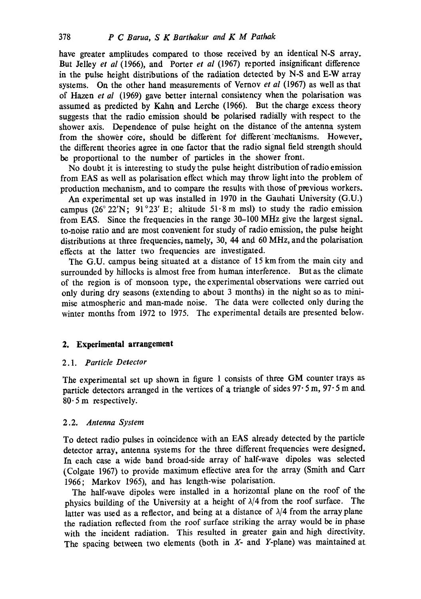have greater amplitudes compared to those received by an identical N-S array. But Jelley *et al* (1966), and Porter *et al* (1967) reported insignificant difference in the pulse height distributions of the radiation detected by N-S and E-W array systems. On the other hand measurements of Vernov *et al* (1967) as well as that of Hazen *et al* (1969) gave better internal consistency when the polarisation was assumed as predicted by Kahn and Lerche (1966). But the charge excess theory suggests that the radio emission should be polarised radially with respect to the shower axis. Dependence of pulse height on the distance of the antenna system from the shower core, should be different for different mechanisms. However, the different theories agree in one factor that the radio signal field strength should be proportional to the number of particles in the shower front.

No doubt it is interesting to study the pulse height distribution of radio emission from EAS as well as polarisation effect which may throw light into the problem of production mechanism, and to compare the results with those of previous workers.

An experimental set up was installed in 1970 in the Gauhati University (G.U.) campus (26°22'N; 91°23' E; altitude 51.8 m msl) to study the radio emission from EAS. Since the frequencies in the range 30-100 MHz give the largest signal. to-noise ratio and are most convenient for study of radio emission, the pulse height distributions at three frequencies, namely, 30, 44 and 60 MHz, and the polarisation effects at the latter two frequencies are investigated.

The G.U. campus being situated at a distance of 15 km from the main city and surrounded by hillocks is almost free from human interference. But as the climate of the region is of monsoon type, the experimental observations were carried out only during dry seasons (extending to about 3 months) in the night so as to minimise atmospheric and man-made noise. The data were collected only during the winter months from 1972 to 1975. The experimental details are presented below.

# **2. Experimental arrangement**

### *2.1. Particle Detector*

The experimental set up shown in figure 1 consists of three GM counter trays as particle detectors arranged in the vertices of a triangle of sides  $97 \cdot 5$  m,  $97 \cdot 5$  m and  $80 \cdot 5$  m respectively.

# 2.2. *Antenna System*

To detect radio pulses in coincidence with an EAS already detected by the particle detector array, antenna systems for the three different frequencies were designed. In each case a wide band broad-side array of half-wave dipoles was selected (Colgate 1967) to provide maximum effective area for the array (Smith and Carr 1966; Markov 1965), and has length-wise polarisation.

The half-wave dipoles were installed in a horizontal plane on the roof of the physics building of the University at a height of  $\lambda/4$  from the roof surface. The latter was used as a reflector, and being at a distance of  $\lambda/4$  from the array plane the radiation reflected from the roof surface striking the array would be in phase with the incident radiation. This resulted in greater gain and high directivity. The spacing between two elements (both in  $X$ - and  $Y$ -plane) was maintained at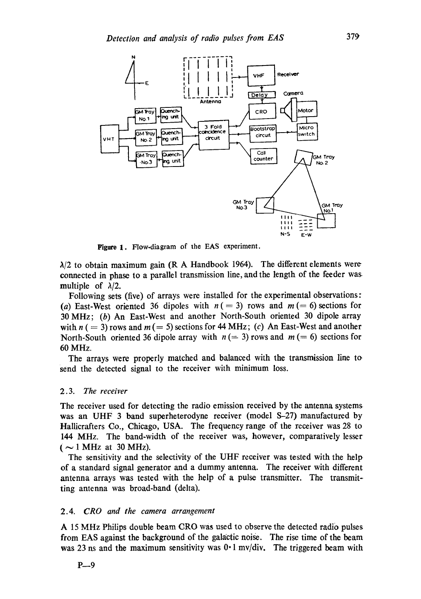

Figure 1. Flow-diagram of the EAS experiment.

 $\lambda/2$  to obtain maximum gain (R A Handbook 1964). The different elements were connected in phase to a parallel transmission line, and the length of the feeder was multiple of  $\lambda/2$ .

Following sets (five) of arrays were installed for the experimental observations: (a) East-West oriented 36 dipoles with  $n (= 3)$  rows and  $m (= 6)$  sections for 30 MHz; (b) An East-West and another North-South oriented 30 dipole array with  $n (= 3)$  rows and  $m (= 5)$  sections for 44 MHz; (c) An East-West and another North-South oriented 36 dipole array with  $n (= 3)$  rows and  $m (= 6)$  sections for 60 MHz.

The arrays were properly matched and balanced with the transmission line to send the detected signal to the receiver with minimum loss.

# *2.3. The receiver*

The receiver used for detecting the radio emission received by the antenna systems was an UHF 3 band superheterodyne receiver (model S-27) manufactured by Hallicrafters Co., Chicago, USA. The frequency range of the receiver was 28 to 144 MHz. The band-width of the receiver was, however, comparatively lesser  $($  ~ 1 MHz at 30 MHz).

The sensitivity and the selectivity of the UHF receiver was tested with the help of a standard signal generator and a dummy antenna. The receiver with different antenna arrays was tested with the help of a pulse transmitter. The transmitting antenna was broad-band (delta).

#### 2.4. *CRO and the camera arrangement*

A 15 MHz Philips double beam CRO was used to observe the detected radio pulses from EAS against the background of the galactic noise. The rise time of the beam was 23 ns and the maximum sensitivity was  $0.1 \text{ mV/div}$ . The triggered beam with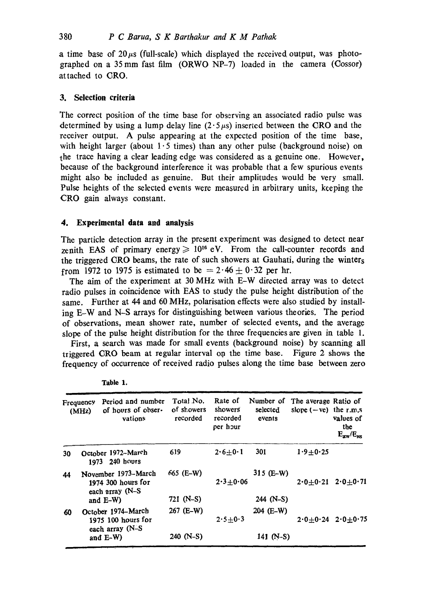a time base of  $20\mu s$  (full-scale) which displayed the received output, was photographed on a 35 mm fast film  $(ORWO NP-7)$  loaded in the camera  $(Cos sor)$ attached to CRO.

# **3. Selection criteria**

The correct position of the time base for observing an associated radio pulse was determined by using a lump delay line  $(2.5 \mu s)$  inserted between the CRO and the receiver output. A pulse appearing at the expected position of the time base, with height larger (about  $1.5$  times) than any other pulse (background noise) on the trace having a clear leading edge was considered as a genuine one. However, because of the background interference it was probable that a few spurious events might also be included as genuine. But their amplitudes would be very small. Pulse heights of the selected events were measured in arbitrary units, keeping the CRO gain always constant.

# **4. Experimental data and analysis**

The particle detection array in the present experiment was designed to detect near zenith EAS of primary energy  $\geq 10^{16}$  eV. From the call-counter records and the triggered CRO beams, the rate of such showers at Gauhati, during the winters from 1972 to 1975 is estimated to be  $= 2.46 \pm 0.32$  per hr.

The aim of the experiment at 30 MHz with E-W directed array was to detect radio pulses in coincidence with EAS to study the pulse height distribution of the same. Further at 44 and 60 MHz, polarisation effects were also studied by installing E-W and N-S arrays for distinguishing between various theories. The period of observations, mean shower rate, number of selected events, and the average slope of the pulse height distribution for the three frequencies are given in table 1.

First, a search was made for small events (background noise) by scanning all triggered CRO beam at regular interval on the time base. Figure 2 shows the frequency of occurrence of received radio pulses along the time base between zero

|    | Frequency<br>(MHz) | Period and number<br>of hours of obser-<br>vations            | Total No.<br>of showers<br>recorded | Rate of<br>showers<br>recorded<br>per hour | Number of<br>selected<br>events | The average Ratio of<br>slope $(-ve)$ the r.m.s | values of<br>the<br>$E_{\rm{aw}}/E_{\rm{NS}}$ |
|----|--------------------|---------------------------------------------------------------|-------------------------------------|--------------------------------------------|---------------------------------|-------------------------------------------------|-----------------------------------------------|
| 30 |                    | October 1972-March<br>1973 240 hours                          | 619                                 | $2.6 + 0.1$                                | 301                             | $1.9 + 0.25$                                    |                                               |
| 44 |                    | November 1973-March<br>1974 300 hours for<br>each array (N-S  | 665 (E-W)                           | $2.3 + 0.06$                               | $315$ (E-W)                     | $2.0 + 0.21$                                    | $2.0 + 0.71$                                  |
|    |                    | and $E-W$ )                                                   | 721 (N-S)                           |                                            | 244 (N-S)                       |                                                 |                                               |
| 60 |                    | October 1974-March<br>$1975$ 100 hours for<br>each array (N-S | 267 (E-W)                           | $2.5 + 0.3$                                | 204 (E-W)                       |                                                 | $2.0 \pm 0.24$ $2.0 \pm 0.75$                 |
|    |                    | and E-W)                                                      | $240$ (N-S)                         |                                            | 141 $(N-S)$                     |                                                 |                                               |

**Table 1.**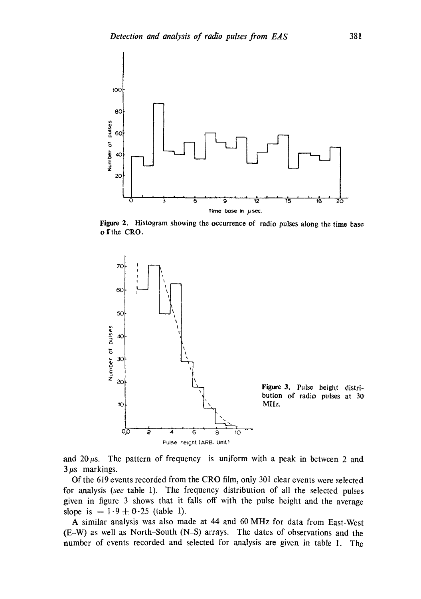

**Figure 2. Histogram showing the occurrence of radio pulses along the time base**  o fthe CRO.



and  $20~\mu s$ . The pattern of frequency is uniform with a peak in between 2 and  $3 \mu s$  markings.

**Of the 619 events recorded from the CRO firm, onty 301 clear events were selected for analysis** *(see* **table 1). The frequency distribution of all the selected pulses given in figure 3 shows that it falls off with the pulse height and the average**  slope is  $= 1.9 \pm 0.25$  (table 1).

**A similar analysis was also made at 44 and 60 MHz for data from East-West (E-W) as well as North-South (N-S) arrays. The dates of observations and the number of events recorded and selected for analysis are given in table 1. The**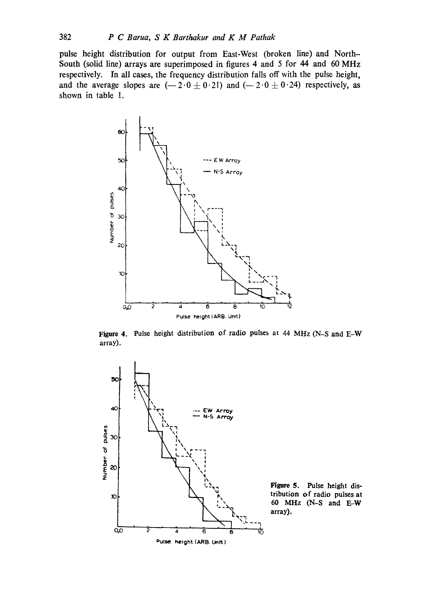pulse height distribution for output from East-West (broken line) and North-South (solid line) arrays are superimposed in figures 4 and 5 for 44 and 60 MHz respectively. In all cases, the frequency distribution falls off with the pulse height, and the average slopes are  $(-2.0 \pm 0.21)$  and  $(-2.0 \pm 0.24)$  respectively, as shown in table 1.



**Figure 4.** Pulse height distribution of radio pulses at 44 MHz (N-S and E-W array).

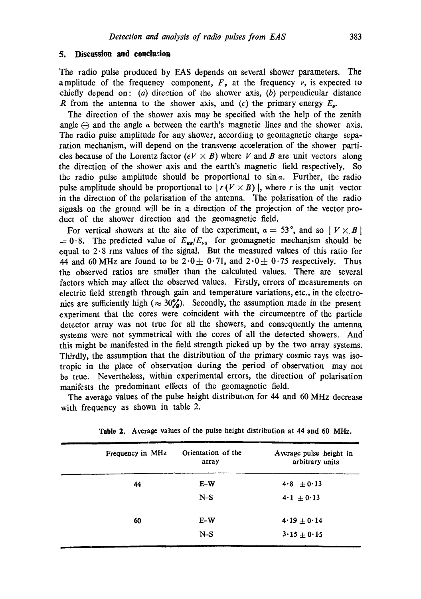# **5. Discussion and conclusion**

The radio pulse produced by EAS depends on several shower parameters. The amplitude of the frequency component,  $F_{\nu}$  at the frequency  $\nu$ , is expected to chiefly depend on: (a) direction of the shower axis, (b) perpendicular distance R from the antenna to the shower axis, and (c) the primary energy  $E_a$ .

The direction of the shower axis may be specified with the help of the zenith angle  $\ominus$  and the angle  $\alpha$  between the earth's magnetic lines and the shower axis. The radio pulse amplitude for any shower, according to geomagnetic charge separation mechanism, will depend on the transverse acceleration of the shower particles because of the Lorentz factor  $(eV \times B)$  where V and B are unit vectors along the direction of the shower axis and the earth's magnetic field respectively. So the radio pulse amplitude should be proportional to  $sin \alpha$ . Further, the radio pulse amplitude should be proportional to  $\lfloor r(V \times B) \rfloor$ , where r is the unit vector in the direction of the polarisation of the antenna. The polarisation of the radio signals on the ground will be in a direction of the projection of the vector product of the shower direction and the geomagnetic field.

For vertical showers at the site of the experiment,  $\alpha = 53^\circ$ , and so  $|V \times B|$  $= 0.8$ . The predicted value of  $E_{\text{sw}}/E_{\text{NS}}$  for geomagnetic mechanism should be equal to  $2.8$  rms values of the signal. But the measured values of this ratio for 44 and 60 MHz are found to be  $2.0 \pm 0.71$ , and  $2.0 \pm 0.75$  respectively. Thus the observed ratios are smaller than the calculated values. There are several factors which may affect the observed values. Firstly, errors of measurements on electric field strength through gain and temperature variations, etc., in the electronics are sufficiently high ( $\approx 30\%$ ). Secondly, the assumption made in the present experiment that the cores were coincident with the circumcentre of the particle detector array was not true for all the showers, and consequently the antenna systems were not symmetrical with the cores of all the detected showers. And this might be manifested in the field strength picked up by the two array systems. Thirdly, the assumption that the distribution of the primary cosmic rays was isotropic in the place of observation during the period of observation may not be true. Nevertheless, within experimental errors, the direction of polarisation manifests the predominant effects of the geomagnetic field.

The average Values of the pulse height distribut,on for 44 and 60 MHz decrease with frequency as shown in table 2.

| Frequency in MHz | Orientation of the<br>array | Average pulse height in<br>arbitrary units |
|------------------|-----------------------------|--------------------------------------------|
| 44               | $E-W$                       | $4.8 \pm 0.13$                             |
|                  | $N-S$                       | $4 \cdot 1 + 0 \cdot 13$                   |
| 60               | $E-W$                       | $4.19 \pm 0.14$                            |
|                  | $N-S$                       | $3.15 \pm 0.15$                            |

Table 2. Average values of the pulse height distribution at 44 and 60 MHz.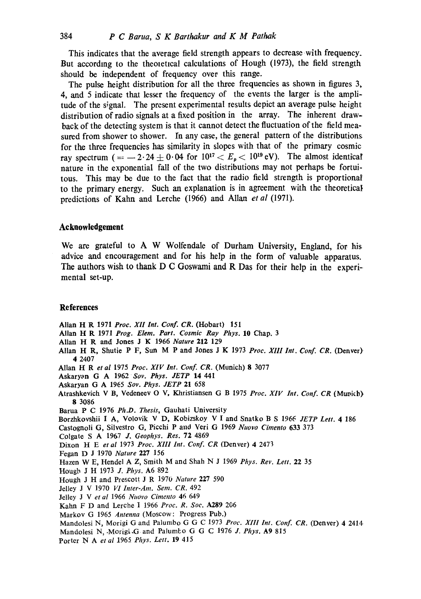This indicates that the average field strength appears to decrease with frequency. But according to the theoretical calculations of Hough (1973), the field strength should be independent of frequency over this range.

The pulse height distribution for all the three frequencies as shown in figures 3, 4, and 5 indicate that lesser the frequency of the events the larger is the amplitude of the signal. The present experimental results depict an average pulse height distribution of radio signals at a fixed position in the array. The inherent drawback of the detecting system is that it cannot detect the fluctuation of the field measured from shower to shower. In any case, the general pattern of the distributions for the three frequencies has similarity in slopes with that of the primary cosmic ray spectrum (= -2.24  $\pm$  0.04 for  $10^{17} < E_p < 10^{19}$  eV). The almost identical nature in the exponential fall of the two distributions may not perhaps be fortuitous. This may be due to the fact that the radio field strength is proportionat to the primary energy. Such an explanation is in agreement with the theoretical predictions of Kahn and Lerche (1966) and Allan *et al* (1971).

# **Acknowledgement**

We are grateful to A W Wolfendale of Durham University, England, for his advice and encouragement and for his help in the form of valuable apparatus. The authors wish to thank D C Goswami and R Das for their help in the experimental set-up.

# **References**

Allan H R 1971 *Proc. XII Int. Conf. CR.* (Hobart) 151

- Allan H R 1971 *Prog. Elem. Part. Cosmic Ray Phys.* 10 Chap. 3
- Allan **H R and Jones J K** 1966 *Nature* 212 129
- Allan H R, Shutie P F, Sun M P and Jones J K 1973 *Proc. XIII Int. Conf. CR.* (Denver) 4 2407
- Allan H R *et al* 1975 *Proc. XIV Int. Conf. CR.* (Munich) 8 3077
- Askaryan G A 1962 *Soy. Phys. JETP* 14 441
- Askaryan G A 1965 *Sov. Phys. JETP* 21 658
- Atrashkevich V B, Vedeneev O V, Khristiansen G B 1975 *Proc. XIV Int. Conf. CR* (Muvicb) **8** 3086
- Barua P C 1976 *Ph.D. Thesis,* Gauhati University
- Borzhkovshii I A, Volovik V D, Kobizskoy V I and Snatko B S 1966 *JETP Lett.* 4 186
- Castognoli G, Silvestro G, Picchi P and Veri G 1969 *Nuovo Cimento* 633 373
- Colgate S A 1967 *J. Geophys. Res.* 72 4869
- Dixon H E *et al* 1973 *Proc. XIII Int. Conf. CR* (Denver) 4 2473
- Fegan D J 1970 *Nature* 227 156
- Hazen W E, Hendel A Z, Smith M and Shah N J 1969 *Phys. Rev. Lett.* 22 35
- Hougb J H t973 *J. Phys.* A6 892
- Hough J H and Prescott J R 1970 *Nature* 227 590
- Jelley J V 1970 VI Inter-Am. Sem. CR. 492
- Jelley J Vet *al* 1966 *NuOvo Cimento* 46 649
- Kahn F D and Lerche I 1966 Proc. R. Soc. A289 206
- Markov G 1965 *Antenna* (Moscow: Progress Pub.)
- Mandolesi N, Morigi G and Palumbo G G C 1973 *Proc. Xlll Int. Conf. CR.* (Denver) 4 2414
- Mandolesi N, Morigi G and Palumbo G G C 1976 *J. Phys.* A9 815
- Porter bl A *et al* 1965 *Phys. Lett.* 19 415